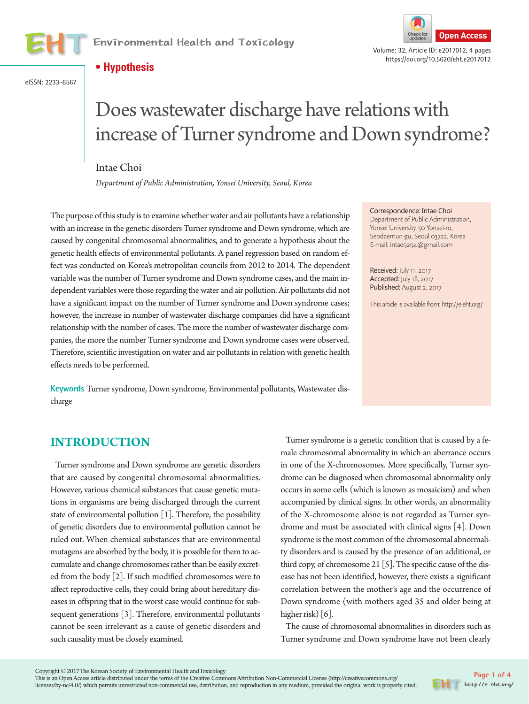

Environmental Health and Toxicology **Channel Channel Check for Check for Check for Access** 

#### **• Hypothesis**





https://doi.org/10.5620/eht.e2017012

# Does wastewater discharge have relations with increase of Turner syndrome and Down syndrome?

#### Intae Choi

*Department of Public Administration, Yonsei University, Seoul, Korea*

The purpose of this study is to examine whether water and air pollutants have a relationship with an increase in the genetic disorders Turner syndrome and Down syndrome, which are caused by congenital chromosomal abnormalities, and to generate a hypothesis about the genetic health effects of environmental pollutants. A panel regression based on random effect was conducted on Korea's metropolitan councils from 2012 to 2014. The dependent variable was the number of Turner syndrome and Down syndrome cases, and the main independent variables were those regarding the water and air pollution. Air pollutants did not have a significant impact on the number of Turner syndrome and Down syndrome cases; however, the increase in number of wastewater discharge companies did have a significant relationship with the number of cases. The more the number of wastewater discharge companies, the more the number Turner syndrome and Down syndrome cases were observed. Therefore, scientific investigation on water and air pollutants in relation with genetic health effects needs to be performed.

**Keywords** Turner syndrome, Down syndrome, Environmental pollutants, Wastewater discharge

#### Correspondence: Intae Choi

Department of Public Administration, Yonsei University, 50 Yonsei-ro, Seodaemun-gu, Seoul 03722, Korea E-mail: intae9294@gmail.com

Received: July 11, 2017 Accepted: July 18, 2017 Published: August 2, 2017

This article is available from: http://e-eht.org/

#### **INTRODUCTION**

Turner syndrome and Down syndrome are genetic disorders that are caused by congenital chromosomal abnormalities. However, various chemical substances that cause genetic mutations in organisms are being discharged through the current state of environmental pollution [1]. Therefore, the possibility of genetic disorders due to environmental pollution cannot be ruled out. When chemical substances that are environmental mutagens are absorbed by the body, it is possible for them to accumulate and change chromosomes rather than be easily excreted from the body [2]. If such modified chromosomes were to affect reproductive cells, they could bring about hereditary diseases in offspring that in the worst case would continue for subsequent generations [3]. Therefore, environmental pollutants cannot be seen irrelevant as a cause of genetic disorders and such causality must be closely examined.

Turner syndrome is a genetic condition that is caused by a female chromosomal abnormality in which an aberrance occurs in one of the X-chromosomes. More specifically, Turner syndrome can be diagnosed when chromosomal abnormality only occurs in some cells (which is known as mosaicism) and when accompanied by clinical signs. In other words, an abnormality of the X-chromosome alone is not regarded as Turner syndrome and must be associated with clinical signs [4]. Down syndrome is the most common of the chromosomal abnormality disorders and is caused by the presence of an additional, or third copy, of chromosome 21 [5]. The specific cause of the disease has not been identified, however, there exists a significant correlation between the mother's age and the occurrence of Down syndrome (with mothers aged 35 and older being at higher risk) [6].

The cause of chromosomal abnormalities in disorders such as Turner syndrome and Down syndrome have not been clearly

This is an Open Access article distributed under the terms of the Creative Commons Attribution Non-Commercial License (http://creativecommons.org/ licenses/by-nc/4.0/) which permits unrestricted non-commercial use, distribution, and reproduction in any medium, provided the original work is properly cited.

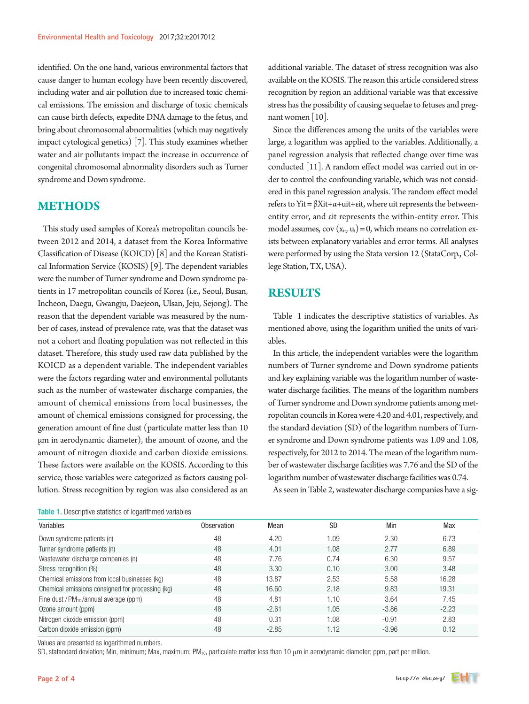identified. On the one hand, various environmental factors that cause danger to human ecology have been recently discovered, including water and air pollution due to increased toxic chemical emissions. The emission and discharge of toxic chemicals can cause birth defects, expedite DNA damage to the fetus, and bring about chromosomal abnormalities (which may negatively impact cytological genetics) [7]. This study examines whether water and air pollutants impact the increase in occurrence of congenital chromosomal abnormality disorders such as Turner syndrome and Down syndrome.

## **METHODS**

This study used samples of Korea's metropolitan councils between 2012 and 2014, a dataset from the Korea Informative Classification of Disease (KOICD) [8] and the Korean Statistical Information Service (KOSIS) [9]. The dependent variables were the number of Turner syndrome and Down syndrome patients in 17 metropolitan councils of Korea (i.e., Seoul, Busan, Incheon, Daegu, Gwangju, Daejeon, Ulsan, Jeju, Sejong). The reason that the dependent variable was measured by the number of cases, instead of prevalence rate, was that the dataset was not a cohort and floating population was not reflected in this dataset. Therefore, this study used raw data published by the KOICD as a dependent variable. The independent variables were the factors regarding water and environmental pollutants such as the number of wastewater discharge companies, the amount of chemical emissions from local businesses, the amount of chemical emissions consigned for processing, the generation amount of fine dust (particulate matter less than 10 μm in aerodynamic diameter), the amount of ozone, and the amount of nitrogen dioxide and carbon dioxide emissions. These factors were available on the KOSIS. According to this service, those variables were categorized as factors causing pollution. Stress recognition by region was also considered as an

Table 1. Descriptive statistics of logarithmed variables

additional variable. The dataset of stress recognition was also available on the KOSIS. The reason this article considered stress recognition by region an additional variable was that excessive stress has the possibility of causing sequelae to fetuses and pregnant women [10].

Since the differences among the units of the variables were large, a logarithm was applied to the variables. Additionally, a panel regression analysis that reflected change over time was conducted [11]. A random effect model was carried out in order to control the confounding variable, which was not considered in this panel regression analysis. The random effect model refers to Yit = βXit+α+uit+εit, where uit represents the betweenentity error, and εit represents the within-entity error. This model assumes,  $cov(x_{it}, u_i) = 0$ , which means no correlation exists between explanatory variables and error terms. All analyses were performed by using the Stata version 12 (StataCorp., College Station, TX, USA).

#### **RESULTS**

Table 1 indicates the descriptive statistics of variables. As mentioned above, using the logarithm unified the units of variables.

In this article, the independent variables were the logarithm numbers of Turner syndrome and Down syndrome patients and key explaining variable was the logarithm number of wastewater discharge facilities. The means of the logarithm numbers of Turner syndrome and Down syndrome patients among metropolitan councils in Korea were 4.20 and 4.01, respectively, and the standard deviation (SD) of the logarithm numbers of Turner syndrome and Down syndrome patients was 1.09 and 1.08, respectively, for 2012 to 2014. The mean of the logarithm number of wastewater discharge facilities was 7.76 and the SD of the logarithm number of wastewater discharge facilities was 0.74.

As seen in Table 2, wastewater discharge companies have a sig-

| <b>ROOD I.</b> DOOD IDENG UREDED OF TOGRITEHTING VALIABLES | Min<br>Max<br><b>SD</b><br>Mean<br>Observation<br>6.73<br>1.09<br>2.30<br>48<br>4.20 |         |      |         |         |  |  |  |  |
|------------------------------------------------------------|--------------------------------------------------------------------------------------|---------|------|---------|---------|--|--|--|--|
| Variables                                                  |                                                                                      |         |      |         |         |  |  |  |  |
| Down syndrome patients (n)                                 |                                                                                      |         |      |         |         |  |  |  |  |
| Turner syndrome patients (n)                               | 48                                                                                   | 4.01    | 1.08 | 2.77    | 6.89    |  |  |  |  |
| Wastewater discharge companies (n)                         | 48                                                                                   | 7.76    | 0.74 | 6.30    | 9.57    |  |  |  |  |
| Stress recognition (%)                                     | 48                                                                                   | 3.30    | 0.10 | 3.00    | 3.48    |  |  |  |  |
| Chemical emissions from local businesses (kg)              | 48                                                                                   | 13.87   | 2.53 | 5.58    | 16.28   |  |  |  |  |
| Chemical emissions consigned for processing (kg)           | 48                                                                                   | 16.60   | 2.18 | 9.83    | 19.31   |  |  |  |  |
| Fine dust / PM <sub>10</sub> /annual average (ppm)         | 48                                                                                   | 4.81    | 1.10 | 3.64    | 7.45    |  |  |  |  |
| Ozone amount (ppm)                                         | 48                                                                                   | $-2.61$ | 1.05 | $-3.86$ | $-2.23$ |  |  |  |  |
| Nitrogen dioxide emission (ppm)                            | 48                                                                                   | 0.31    | 1.08 | $-0.91$ | 2.83    |  |  |  |  |
| Carbon dioxide emission (ppm)                              | 48                                                                                   | $-2.85$ | 1.12 | $-3.96$ | 0.12    |  |  |  |  |

Values are presented as logarithmed numbers.

SD, statandard deviation; Min, minimum; Max, maximum; PM<sub>10</sub>, particulate matter less than 10 μm in aerodynamic diameter; ppm, part per million.

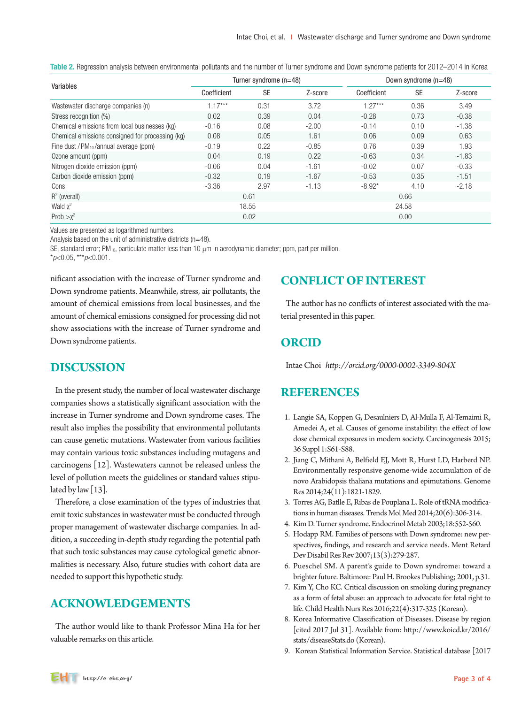| Variables                                        | Turner syndrome (n=48) |           |         | Down syndrome $(n=48)$ |           |         |  |
|--------------------------------------------------|------------------------|-----------|---------|------------------------|-----------|---------|--|
|                                                  | Coefficient            | <b>SE</b> | Z-score | Coefficient            | <b>SE</b> | Z-score |  |
| Wastewater discharge companies (n)               | $1.17***$              | 0.31      | 3.72    | $1.27***$              | 0.36      | 3.49    |  |
| Stress recognition (%)                           | 0.02                   | 0.39      | 0.04    | $-0.28$                | 0.73      | $-0.38$ |  |
| Chemical emissions from local businesses (kg)    | $-0.16$                | 0.08      | $-2.00$ | $-0.14$                | 0.10      | $-1.38$ |  |
| Chemical emissions consigned for processing (kg) | 0.08                   | 0.05      | 1.61    | 0.06                   | 0.09      | 0.63    |  |
| Fine dust / $PM_{10}$ /annual average (ppm)      | $-0.19$                | 0.22      | $-0.85$ | 0.76                   | 0.39      | 1.93    |  |
| Ozone amount (ppm)                               | 0.04                   | 0.19      | 0.22    | $-0.63$                | 0.34      | $-1.83$ |  |
| Nitrogen dioxide emission (ppm)                  | $-0.06$                | 0.04      | $-1.61$ | $-0.02$                | 0.07      | $-0.33$ |  |
| Carbon dioxide emission (ppm)                    | $-0.32$                | 0.19      | $-1.67$ | $-0.53$                | 0.35      | $-1.51$ |  |
| Cons                                             | $-3.36$                | 2.97      | $-1.13$ | $-8.92*$               | 4.10      | $-2.18$ |  |
| $R^2$ (overall)                                  | 0.61                   |           |         | 0.66                   |           |         |  |
| Wald $\chi^2$                                    | 18.55                  |           |         | 24.58                  |           |         |  |
| Prob $>\chi^2$                                   | 0.02                   |           |         | 0.00                   |           |         |  |

Table 2. Regression analysis between environmental pollutants and the number of Turner syndrome and Down syndrome patients for 2012–2014 in Korea

Values are presented as logarithmed numbers.

Analysis based on the unit of administrative districts (n=48).

SE, standard error; PM<sub>10</sub>, particulate matter less than 10 μm in aerodynamic diameter; ppm, part per million. \**p*<0.05, \*\*\**p*<0.001.

nificant association with the increase of Turner syndrome and Down syndrome patients. Meanwhile, stress, air pollutants, the amount of chemical emissions from local businesses, and the amount of chemical emissions consigned for processing did not show associations with the increase of Turner syndrome and Down syndrome patients.

## **CONFLICT OF INTEREST**

The author has no conflicts of interest associated with the material presented in this paper.

## **ORCID**

Intae Choi *http://orcid.org/0000-0002-3349-804X*

# **DISCUSSION**

In the present study, the number of local wastewater discharge companies shows a statistically significant association with the increase in Turner syndrome and Down syndrome cases. The result also implies the possibility that environmental pollutants can cause genetic mutations. Wastewater from various facilities may contain various toxic substances including mutagens and carcinogens [12]. Wastewaters cannot be released unless the level of pollution meets the guidelines or standard values stipulated by law  $[13]$ .

Therefore, a close examination of the types of industries that emit toxic substances in wastewater must be conducted through proper management of wastewater discharge companies. In addition, a succeeding in-depth study regarding the potential path that such toxic substances may cause cytological genetic abnormalities is necessary. Also, future studies with cohort data are needed to support this hypothetic study.

## **ACKNOWLEDGEMENTS**

The author would like to thank Professor Mina Ha for her valuable remarks on this article.

## **REFERENCES**

- 1. Langie SA, Koppen G, Desaulniers D, Al-Mulla F, Al-Temaimi R, Amedei A, et al. Causes of genome instability: the effect of low dose chemical exposures in modern society. Carcinogenesis 2015; 36 Suppl 1:S61-S88.
- 2. Jiang C, Mithani A, Belfield EJ, Mott R, Hurst LD, Harberd NP. Environmentally responsive genome-wide accumulation of de novo Arabidopsis thaliana mutations and epimutations. Genome Res 2014;24(11):1821-1829.
- 3. Torres AG, Batlle E, Ribas de Pouplana L. Role of tRNA modifications in human diseases. Trends Mol Med 2014;20(6):306-314.
- 4. Kim D. Turner syndrome. Endocrinol Metab 2003;18:552-560.
- 5. Hodapp RM. Families of persons with Down syndrome: new perspectives, findings, and research and service needs. Ment Retard Dev Disabil Res Rev 2007;13(3):279-287.
- 6. Pueschel SM. A parent's guide to Down syndrome: toward a brighter future. Baltimore: Paul H. Brookes Publishing; 2001, p.31.
- 7. Kim Y, Cho KC. Critical discussion on smoking during pregnancy as a form of fetal abuse: an approach to advocate for fetal right to life. Child Health Nurs Res 2016;22(4):317-325 (Korean).
- 8. Korea Informative Classification of Diseases. Disease by region [cited 2017 Jul 31]. Available from: http://www.koicd.kr/2016/ stats/diseaseStats.do (Korean).
- 9. Korean Statistical Information Service. Statistical database [2017